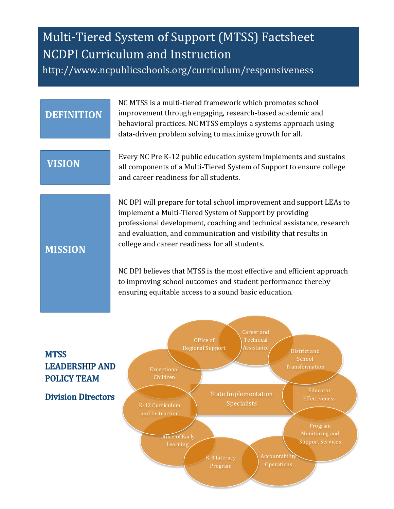# Multi-Tiered System of Support (MTSS) Factsheet NCDPI Curriculum and Instruction http://www.ncpublicschools.org/curriculum/responsiveness

### **DEFINITION**

NC MTSS is a multi-tiered framework which promotes school improvement through engaging, research-based academic and behavioral practices. NC MTSS employs a systems approach using data-driven problem solving to maximize growth for all.

## **VISION**

Every NC Pre K-12 public education system implements and sustains all components of a Multi-Tiered System of Support to ensure college and career readiness for all students.

NC DPI will prepare for total school improvement and support LEAs to implement a Multi-Tiered System of Support by providing professional development, coaching and technical assistance, research and evaluation, and communication and visibility that results in college and career readiness for all students.

## **MISSION**

NC DPI believes that MTSS is the most effective and efficient approach to improving school outcomes and student performance thereby ensuring equitable access to a sound basic education.

# **MTSS LEADERSHIP AND POLICY TEAM**

#### **Division Directors**